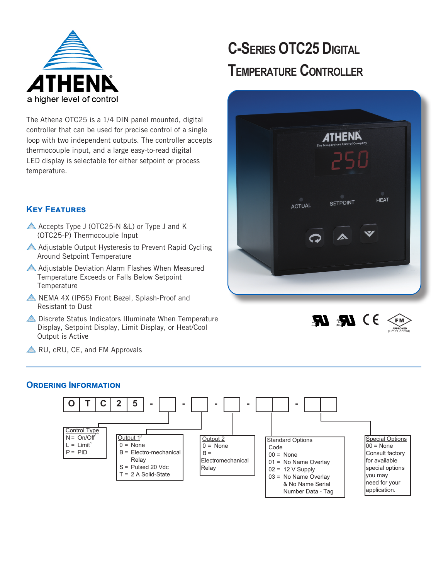

# **C-Series OTC25 Digital Temperature Controller**

The Athena OTC25 is a 1/4 DIN panel mounted, digital controller that can be used for precise control of a single loop with two independent outputs. The controller accepts thermocouple input, and a large easy-to-read digital LED display is selectable for either setpoint or process temperature.

# **Key Features**

- Accepts Type J (OTC25-N &L) or Type J and K (OTC25-P) Thermocouple Input
- Adjustable Output Hysteresis to Prevent Rapid Cycling Around Setpoint Temperature
- Adjustable Deviation Alarm Flashes When Measured Temperature Exceeds or Falls Below Setpoint **Temperature**
- A NEMA 4X (IP65) Front Bezel, Splash-Proof and Resistant to Dust
- **A** Discrete Status Indicators Illuminate When Temperature Display, Setpoint Display, Limit Display, or Heat/Cool Output is Active
- 





**A** RU, cRU, CE, and FM Approvals

## **Ordering Information**